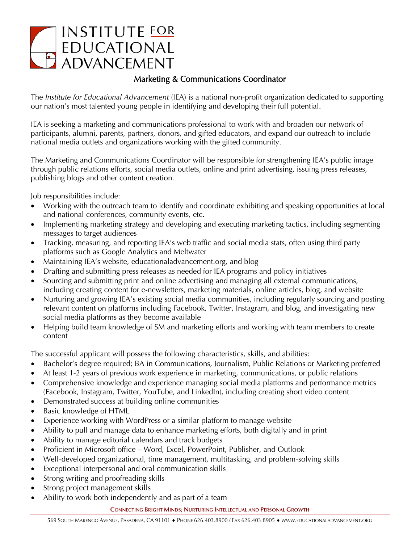## **INSTITUTE FOR** EDUCATIONAL<br>ADVANCEMENT

## Marketing & Communications Coordinator

The *Institute for Educational Advancement* (IEA) is a national non-profit organization dedicated to supporting our nation's most talented young people in identifying and developing their full potential.

IEA is seeking a marketing and communications professional to work with and broaden our network of participants, alumni, parents, partners, donors, and gifted educators, and expand our outreach to include national media outlets and organizations working with the gifted community.

The Marketing and Communications Coordinator will be responsible for strengthening IEA's public image through public relations efforts, social media outlets, online and print advertising, issuing press releases, publishing blogs and other content creation.

Job responsibilities include:

- Working with the outreach team to identify and coordinate exhibiting and speaking opportunities at local and national conferences, community events, etc.
- Implementing marketing strategy and developing and executing marketing tactics, including segmenting messages to target audiences
- Tracking, measuring, and reporting IEA's web traffic and social media stats, often using third party platforms such as Google Analytics and Meltwater
- Maintaining IEA's website, educationaladvancement.org, and blog
- Drafting and submitting press releases as needed for IEA programs and policy initiatives
- Sourcing and submitting print and online advertising and managing all external communications, including creating content for e-newsletters, marketing materials, online articles, blog, and website
- Nurturing and growing IEA's existing social media communities, including regularly sourcing and posting relevant content on platforms including Facebook, Twitter, Instagram, and blog, and investigating new social media platforms as they become available
- Helping build team knowledge of SM and marketing efforts and working with team members to create content

The successful applicant will possess the following characteristics, skills, and abilities:

- Bachelor's degree required; BA in Communications, Journalism, Public Relations or Marketing preferred
- At least 1-2 years of previous work experience in marketing, communications, or public relations
- Comprehensive knowledge and experience managing social media platforms and performance metrics (Facebook, Instagram, Twitter, YouTube, and LinkedIn), including creating short video content
- Demonstrated success at building online communities
- Basic knowledge of HTML
- Experience working with WordPress or a similar platform to manage website
- Ability to pull and manage data to enhance marketing efforts, both digitally and in print
- Ability to manage editorial calendars and track budgets
- Proficient in Microsoft office Word, Excel, PowerPoint, Publisher, and Outlook
- Well-developed organizational, time management, multitasking, and problem-solving skills
- Exceptional interpersonal and oral communication skills
- Strong writing and proofreading skills
- Strong project management skills
- Ability to work both independently and as part of a team

**CONNECTING BRIGHT MINDS; NURTURING INTELLECTUAL AND PERSONAL GROWTH**